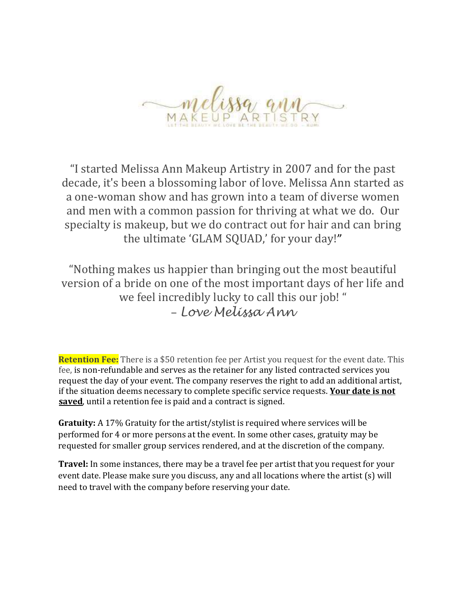

"I started Melissa Ann Makeup Artistry in 2007 and for the past decade, it's been a blossoming labor of love. Melissa Ann started as a one-woman show and has grown into a team of diverse women and men with a common passion for thriving at what we do. Our specialty is makeup, but we do contract out for hair and can bring the ultimate 'GLAM SQUAD,' for your day!"

"Nothing makes us happier than bringing out the most beautiful version of a bride on one of the most important days of her life and we feel incredibly lucky to call this our job! " – *Love Melissa Ann*

**Retention Fee:** There is a \$50 retention fee per Artist you request for the event date. This fee, is non-refundable and serves as the retainer for any listed contracted services you request the day of your event. The company reserves the right to add an additional artist, if the situation deems necessary to complete specific service requests. **Your date is not saved**, until a retention fee is paid and a contract is signed.

**Gratuity:** A 17% Gratuity for the artist/stylist is required where services will be performed for 4 or more persons at the event. In some other cases, gratuity may be requested for smaller group services rendered, and at the discretion of the company.

**Travel:** In some instances, there may be a travel fee per artist that you request for your event date. Please make sure you discuss, any and all locations where the artist (s) will need to travel with the company before reserving your date.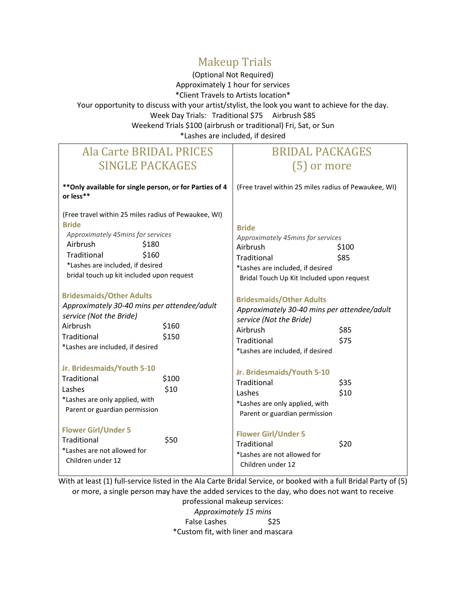## Makeup Trials

(Optional Not Required) Approximately 1 hour for services \*Client Travels to Artists location\* Your opportunity to discuss with your artist/stylist, the look you want to achieve for the day. Week Day Trials: Traditional \$75 Airbrush \$85 Weekend Trials \$100 (airbrush or traditional) Fri, Sat, or Sun \*Lashes are included, if desired

## Ala Carte BRIDAL PRICES SINGLE PACKAGES

## BRIDAL PACKAGES (5) or more

| ** Only available for single person, or for Parties of 4<br>or less**                                                                                                                                                                   |                | (Free travel within 25 miles radius of Pewaukee, WI)                                                                                                                     |               |
|-----------------------------------------------------------------------------------------------------------------------------------------------------------------------------------------------------------------------------------------|----------------|--------------------------------------------------------------------------------------------------------------------------------------------------------------------------|---------------|
| (Free travel within 25 miles radius of Pewaukee, WI)<br><b>Bride</b><br>Approximately 45mins for services<br>Airbrush<br>\$180<br>Traditional<br>\$160<br>*Lashes are included, if desired<br>bridal touch up kit included upon request |                | <b>Bride</b><br>Approximately 45mins for services<br>Airbrush<br>Traditional<br>*Lashes are included, if desired<br>Bridal Touch Up Kit Included upon request            | \$100<br>\$85 |
| <b>Bridesmaids/Other Adults</b><br>Approximately 30-40 mins per attendee/adult<br>service (Not the Bride)<br>Airbrush<br>Traditional<br>*Lashes are included, if desired                                                                | \$160<br>\$150 | <b>Bridesmaids/Other Adults</b><br>Approximately 30-40 mins per attendee/adult<br>service (Not the Bride)<br>Airbrush<br>Traditional<br>*Lashes are included, if desired | \$85<br>\$75  |
| Jr. Bridesmaids/Youth 5-10<br>Traditional<br>Lashes<br>*Lashes are only applied, with<br>Parent or guardian permission                                                                                                                  | \$100<br>\$10  | Jr. Bridesmaids/Youth 5-10<br>Traditional<br>Lashes<br>*Lashes are only applied, with<br>Parent or guardian permission                                                   | \$35<br>\$10  |
| <b>Flower Girl/Under 5</b><br>Traditional<br>*Lashes are not allowed for<br>Children under 12                                                                                                                                           | \$50           | <b>Flower Girl/Under 5</b><br>Traditional<br>*Lashes are not allowed for<br>Children under 12                                                                            | \$20          |

With at least (1) full-service listed in the Ala Carte Bridal Service, or booked with a full Bridal Party of (5) or more, a single person may have the added services to the day, who does not want to receive

> professional makeup services: *Approximately 15 mins* False Lashes \$25 \*Custom fit, with liner and mascara